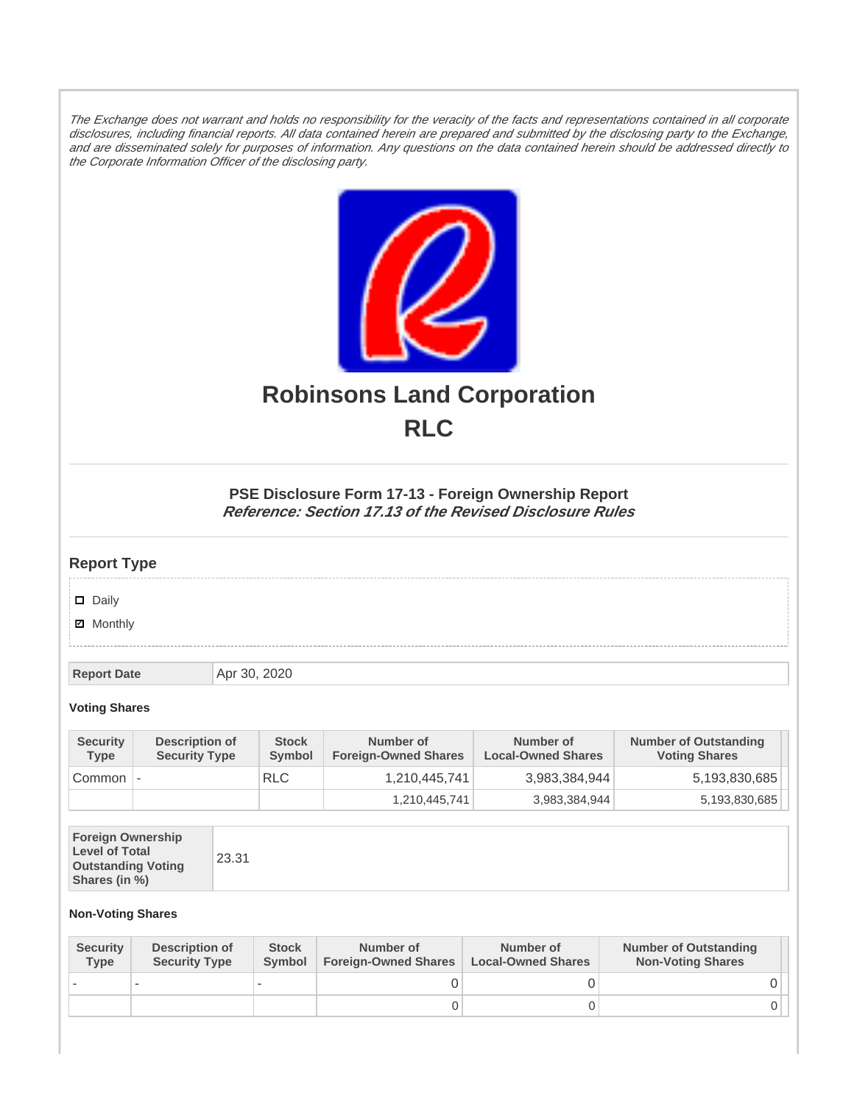The Exchange does not warrant and holds no responsibility for the veracity of the facts and representations contained in all corporate disclosures, including financial reports. All data contained herein are prepared and submitted by the disclosing party to the Exchange, and are disseminated solely for purposes of information. Any questions on the data contained herein should be addressed directly to the Corporate Information Officer of the disclosing party.



# **Robinsons Land Corporation RLC**

## **PSE Disclosure Form 17-13 - Foreign Ownership Report Reference: Section 17.13 of the Revised Disclosure Rules**

## **Report Type**

Daily

**Ø** Monthly

**Report Date Apr 30, 2020** 

#### **Voting Shares**

| <b>Security</b><br><b>Type</b> | Description of<br><b>Security Type</b> | <b>Stock</b><br>Symbol | Number of<br><b>Foreign-Owned Shares</b> | Number of<br><b>Local-Owned Shares</b> | <b>Number of Outstanding</b><br><b>Voting Shares</b> |
|--------------------------------|----------------------------------------|------------------------|------------------------------------------|----------------------------------------|------------------------------------------------------|
| Common                         |                                        | <b>RLC</b>             | 1,210,445,741                            | 3,983,384,944                          | 5,193,830,685                                        |
|                                |                                        |                        | 1,210,445,741                            | 3,983,384,944                          | 5,193,830,685                                        |

| <b>Foreign Ownership</b><br><b>Level of Total</b><br><b>Outstanding Voting</b><br>Shares (in %) |
|-------------------------------------------------------------------------------------------------|
|-------------------------------------------------------------------------------------------------|

### **Non-Voting Shares**

| <b>Security</b><br><b>Type</b> | Description of<br><b>Security Type</b> | <b>Stock</b><br><b>Symbol</b> | Number of<br><b>Foreign-Owned Shares</b> | Number of<br><b>Local-Owned Shares</b> | <b>Number of Outstanding</b><br><b>Non-Voting Shares</b> |
|--------------------------------|----------------------------------------|-------------------------------|------------------------------------------|----------------------------------------|----------------------------------------------------------|
|                                |                                        |                               |                                          |                                        |                                                          |
|                                |                                        |                               | O                                        |                                        |                                                          |